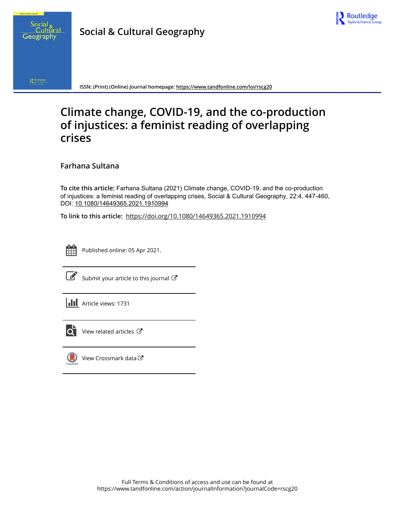



 $\bigotimes_{\mathbb{Z}_p \times \mathbb{N} \times \mathbb{N} \times \mathbb{N} \times \mathbb{N}} \mathsf{Row}$ 

**ISSN: (Print) (Online) Journal homepage:<https://www.tandfonline.com/loi/rscg20>**

# **Climate change, COVID-19, and the co-production of injustices: a feminist reading of overlapping crises**

**Farhana Sultana**

**To cite this article:** Farhana Sultana (2021) Climate change, COVID-19, and the co-production of injustices: a feminist reading of overlapping crises, Social & Cultural Geography, 22:4, 447-460, DOI: [10.1080/14649365.2021.1910994](https://www.tandfonline.com/action/showCitFormats?doi=10.1080/14649365.2021.1910994)

**To link to this article:** <https://doi.org/10.1080/14649365.2021.1910994>



Published online: 05 Apr 2021.



 $\overrightarrow{S}$  [Submit your article to this journal](https://www.tandfonline.com/action/authorSubmission?journalCode=rscg20&show=instructions)  $\overrightarrow{S}$ 





 $\overline{\mathbf{C}}$  [View related articles](https://www.tandfonline.com/doi/mlt/10.1080/14649365.2021.1910994)  $\mathbf{C}$ 



[View Crossmark data](http://crossmark.crossref.org/dialog/?doi=10.1080/14649365.2021.1910994&domain=pdf&date_stamp=2021-04-05) $\bm{\mathcal{C}}$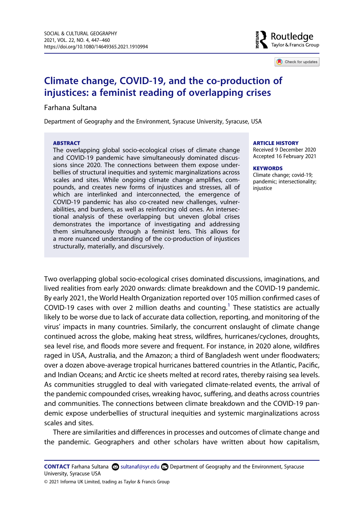Routledae Taylor & Francis Group

Check for updates

## **Climate change, COVID-19, and the co-production of injustices: a feminist reading of overlapping crises**

## Farhana Sultana

Department of Geography and the Environment, Syracuse University, Syracuse, USA

#### **ABSTRACT**

The overlapping global socio-ecological crises of climate change and COVID-19 pandemic have simultaneously dominated discussions since 2020. The connections between them expose underbellies of structural inequities and systemic marginalizations across scales and sites. While ongoing climate change amplifies, compounds, and creates new forms of injustices and stresses, all of which are interlinked and interconnected, the emergence of COVID-19 pandemic has also co-created new challenges, vulnerabilities, and burdens, as well as reinforcing old ones. An intersectional analysis of these overlapping but uneven global crises demonstrates the importance of investigating and addressing them simultaneously through a feminist lens. This allows for a more nuanced understanding of the co-production of injustices structurally, materially, and discursively.

#### **ARTICLE HISTORY**

Received 9 December 2020 Accepted 16 February 2021

#### **KEYWORDS**

Climate change; covid-19; pandemic; intersectionality; injustice

Two overlapping global socio-ecological crises dominated discussions, imaginations, and lived realities from early 2020 onwards: climate breakdown and the COVID-19 pandemic. By early 2021, the World Health Organization reported over 105 million confirmed cases of COVID-[1](#page-9-0)9 cases with over 2 million deaths and counting.<sup>1</sup> These statistics are actually likely to be worse due to lack of accurate data collection, reporting, and monitoring of the virus' impacts in many countries. Similarly, the concurrent onslaught of climate change continued across the globe, making heat stress, wildfires, hurricanes/cyclones, droughts, sea level rise, and floods more severe and frequent. For instance, in 2020 alone, wildfires raged in USA, Australia, and the Amazon; a third of Bangladesh went under floodwaters; over a dozen above-average tropical hurricanes battered countries in the Atlantic, Pacific, and Indian Oceans; and Arctic ice sheets melted at record rates, thereby raising sea levels. As communities struggled to deal with variegated climate-related events, the arrival of the pandemic compounded crises, wreaking havoc, suffering, and deaths across countries and communities. The connections between climate breakdown and the COVID-19 pandemic expose underbellies of structural inequities and systemic marginalizations across scales and sites.

There are similarities and differences in processes and outcomes of climate change and the pandemic. Geographers and other scholars have written about how capitalism,

**CONTACT** Farhana Sultana **Solutanaf@syr.edu Department of Geography and the Environment, Syracuse** University, Syracuse USA

© 2021 Informa UK Limited, trading as Taylor & Francis Group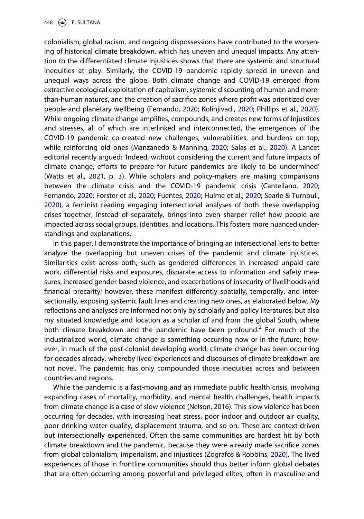448  $\circledast$  F. SULTANA

<span id="page-2-2"></span>colonialism, global racism, and ongoing dispossessions have contributed to the worsening of historical climate breakdown, which has uneven and unequal impacts. Any attention to the differentiated climate injustices shows that there are systemic and structural inequities at play. Similarly, the COVID-19 pandemic rapidly spread in uneven and unequal ways across the globe. Both climate change and COVID-19 emerged from extractive ecological exploitation of capitalism, systemic discounting of human and morethan-human natures, and the creation of sacrifice zones where profit was prioritized over people and planetary wellbeing (Fernando, [2020](#page-11-0); Kolinjivadi, [2020;](#page-12-0) Phillips et al., [2020](#page-12-1)). While ongoing climate change amplifies, compounds, and creates new forms of injustices and stresses, all of which are interlinked and interconnected, the emergences of the COVID-19 pandemic co-created new challenges, vulnerabilities, and burdens on top, while reinforcing old ones (Manzanedo & Manning, [2020;](#page-12-2) Salas et al., [2020](#page-13-0)). A Lancet editorial recently argued: 'Indeed, without considering the current and future impacts of climate change, efforts to prepare for future pandemics are likely to be undermined' (Watts et al., [2021](#page-13-1), p. 3). While scholars and policy-makers are making comparisons between the climate crisis and the COVID-19 pandemic crisis (Cantellano, [2020](#page-10-0); Fernando, [2020;](#page-11-0) Forster et al., [2020;](#page-11-1) Fuentes, [2020](#page-11-2); Hulme et al., [2020;](#page-11-3) Searle & Turnbull, [2020\)](#page-13-2), a feminist reading engaging intersectional analyses of both these overlapping crises together, instead of separately, brings into even sharper relief how people are impacted across social groups, identities, and locations. This fosters more nuanced understandings and explanations.

<span id="page-2-5"></span><span id="page-2-3"></span><span id="page-2-1"></span><span id="page-2-0"></span>In this paper, I demonstrate the importance of bringing an intersectional lens to better analyze the overlapping but uneven crises of the pandemic and climate injustices. Similarities exist across both, such as gendered differences in increased unpaid care work, differential risks and exposures, disparate access to information and safety measures, increased gender-based violence, and exacerbations of insecurity of livelihoods and financial precarity; however, these manifest differently spatially, temporally, and intersectionally, exposing systemic fault lines and creating new ones, as elaborated below. My reflections and analyses are informed not only by scholarly and policy literatures, but also my situated knowledge and location as a scholar of and from the global South, where both climate breakdown and the pandemic have been profound.<sup>2</sup> For much of the industrialized world, climate change is something occurring now or in the future; however, in much of the post-colonial developing world, climate change has been occurring for decades already, whereby lived experiences and discourses of climate breakdown are not novel. The pandemic has only compounded those inequities across and between countries and regions.

<span id="page-2-6"></span><span id="page-2-4"></span>While the pandemic is a fast-moving and an immediate public health crisis, involving expanding cases of mortality, morbidity, and mental health challenges, health impacts from climate change is a case of slow violence (Nelson, [2016](#page-12-3)). This slow violence has been occurring for decades, with increasing heat stress, poor indoor and outdoor air quality, poor drinking water quality, displacement trauma, and so on. These are context-driven but intersectionally experienced. Often the same communities are hardest hit by both climate breakdown and the pandemic, because they were already made sacrifice zones from global colonialism, imperialism, and injustices (Zografos & Robbins, [2020](#page-14-0)). The lived experiences of those in frontline communities should thus better inform global debates that are often occurring among powerful and privileged elites, often in masculine and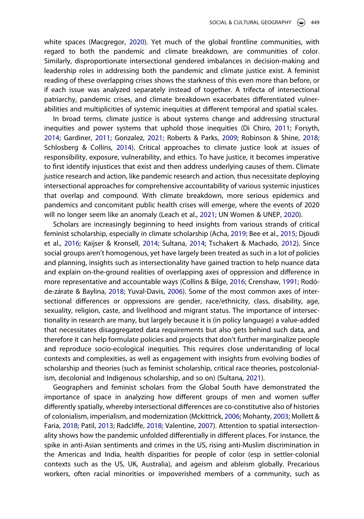<span id="page-3-6"></span>white spaces (Macgregor, [2020\)](#page-12-4). Yet much of the global frontline communities, with regard to both the pandemic and climate breakdown, are communities of color. Similarly, disproportionate intersectional gendered imbalances in decision-making and leadership roles in addressing both the pandemic and climate justice exist. A feminist reading of these overlapping crises shows the starkness of this even more than before, or if each issue was analyzed separately instead of together. A trifecta of intersectional patriarchy, pandemic crises, and climate breakdown exacerbates differentiated vulnerabilities and multiplicities of systemic inequities at different temporal and spatial scales.

<span id="page-3-10"></span><span id="page-3-4"></span><span id="page-3-2"></span>In broad terms, climate justice is about systems change and addressing structural inequities and power systems that uphold those inequities (Di Chiro, [2011](#page-11-4); Forsyth, [2014;](#page-11-5) Gardiner, [2011;](#page-11-6) Gonzalez, [2021;](#page-11-7) Roberts & Parks, [2009;](#page-12-5) Robinson & Shine, [2018](#page-12-6); Schlosberg & Collins, [2014](#page-13-3)). Critical approaches to climate justice look at issues of responsibility, exposure, vulnerability, and ethics. To have justice, it becomes imperative to first identify injustices that exist and then address underlying causes of them. Climate justice research and action, like pandemic research and action, thus necessitate deploying intersectional approaches for comprehensive accountability of various systemic injustices that overlap and compound. With climate breakdown, more serious epidemics and pandemics and concomitant public health crises will emerge, where the events of 2020 will no longer seem like an anomaly (Leach et al., [2021;](#page-12-7) UN Women & UNEP, [2020](#page-13-4)).

<span id="page-3-9"></span><span id="page-3-5"></span><span id="page-3-3"></span><span id="page-3-1"></span><span id="page-3-0"></span>Scholars are increasingly beginning to heed insights from various strands of critical feminist scholarship, especially in climate scholarship (Acha, [2019](#page-10-1); Bee et al., [2015;](#page-10-2) Djoudi et al., [2016;](#page-11-8) Kaijser & Kronsell, [2014](#page-12-8); Sultana, [2014;](#page-13-5) Tschakert & Machado, [2012](#page-13-6)). Since social groups aren't homogenous, yet have largely been treated as such in a lot of policies and planning, insights such as intersectionality have gained traction to help nuance data and explain on-the-ground realities of overlapping axes of oppression and difference in more representative and accountable ways (Collins & Bilge, [2016](#page-10-3); Crenshaw, [1991](#page-10-4); Rodóde-zárate & Baylina, [2018;](#page-12-9) Yuval-Davis, [2006\)](#page-14-1). Some of the most common axes of intersectional differences or oppressions are gender, race/ethnicity, class, disability, age, sexuality, religion, caste, and livelihood and migrant status. The importance of intersectionality in research are many, but largely because it is (in policy language) a value-added that necessitates disaggregated data requirements but also gets behind such data, and therefore it can help formulate policies and projects that don't further marginalize people and reproduce socio-ecological inequities. This requires close understanding of local contexts and complexities, as well as engagement with insights from evolving bodies of scholarship and theories (such as feminist scholarship, critical race theories, postcolonialism, decolonial and Indigenous scholarship, and so on) (Sultana, [2021](#page-13-7)).

<span id="page-3-11"></span><span id="page-3-8"></span><span id="page-3-7"></span>Geographers and feminist scholars from the Global South have demonstrated the importance of space in analyzing how different groups of men and women suffer differently spatially, whereby intersectional differences are co-constitutive also of histories of colonialism, imperialism, and modernization (Mckittrick, [2006;](#page-12-10) Mohanty, [2003](#page-12-11); Mollett & Faria, [2018](#page-12-12); Patil, [2013;](#page-12-13) Radcliffe, [2018](#page-12-14); Valentine, [2007\)](#page-13-8). Attention to spatial intersectionality shows how the pandemic unfolded differentially in different places. For instance, the spike in anti-Asian sentiments and crimes in the US, rising anti-Muslim discrimination in the Americas and India, health disparities for people of color (esp in settler-colonial contexts such as the US, UK, Australia), and ageism and ableism globally. Precarious workers, often racial minorities or impoverished members of a community, such as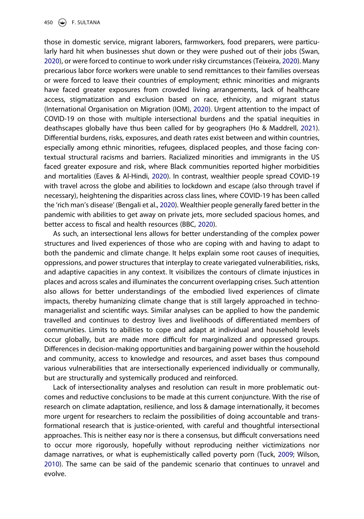450  $\left(\bigcirc\right)$  F. SULTANA

<span id="page-4-6"></span><span id="page-4-5"></span><span id="page-4-4"></span><span id="page-4-3"></span>those in domestic service, migrant laborers, farmworkers, food preparers, were particularly hard hit when businesses shut down or they were pushed out of their jobs (Swan, [2020\)](#page-13-9), or were forced to continue to work under risky circumstances (Teixeira, [2020](#page-13-10)). Many precarious labor force workers were unable to send remittances to their families overseas or were forced to leave their countries of employment; ethnic minorities and migrants have faced greater exposures from crowded living arrangements, lack of healthcare access, stigmatization and exclusion based on race, ethnicity, and migrant status (International Organisation on Migration (IOM), [2020\)](#page-11-9). Urgent attention to the impact of COVID-19 on those with multiple intersectional burdens and the spatial inequities in deathscapes globally have thus been called for by geographers (Ho & Maddrell, [2021](#page-11-10)). Differential burdens, risks, exposures, and death rates exist between and within countries, especially among ethnic minorities, refugees, displaced peoples, and those facing contextual structural racisms and barriers. Racialized minorities and immigrants in the US faced greater exposure and risk, where Black communities reported higher morbidities and mortalities (Eaves & Al-Hindi, [2020](#page-11-11)). In contrast, wealthier people spread COVID-19 with travel across the globe and abilities to lockdown and escape (also through travel if necessary), heightening the disparities across class lines, where COVID-19 has been called the 'rich man's disease' (Bengali et al., [2020](#page-10-5)). Wealthier people generally fared better in the pandemic with abilities to get away on private jets, more secluded spacious homes, and better access to fiscal and health resources (BBC, [2020](#page-10-6)).

<span id="page-4-2"></span><span id="page-4-1"></span><span id="page-4-0"></span>As such, an intersectional lens allows for better understanding of the complex power structures and lived experiences of those who are coping with and having to adapt to both the pandemic and climate change. It helps explain some root causes of inequities, oppressions, and power structures that interplay to create variegated vulnerabilities, risks, and adaptive capacities in any context. It visibilizes the contours of climate injustices in places and across scales and illuminates the concurrent overlapping crises. Such attention also allows for better understandings of the embodied lived experiences of climate impacts, thereby humanizing climate change that is still largely approached in technomanagerialist and scientific ways. Similar analyses can be applied to how the pandemic travelled and continues to destroy lives and livelihoods of differentiated members of communities. Limits to abilities to cope and adapt at individual and household levels occur globally, but are made more difficult for marginalized and oppressed groups. Differences in decision-making opportunities and bargaining power within the household and community, access to knowledge and resources, and asset bases thus compound various vulnerabilities that are intersectionally experienced individually or communally, but are structurally and systemically produced and reinforced.

<span id="page-4-7"></span>Lack of intersectionality analyses and resolution can result in more problematic outcomes and reductive conclusions to be made at this current conjuncture. With the rise of research on climate adaptation, resilience, and loss & damage internationally, it becomes more urgent for researchers to reclaim the possibilities of doing accountable and transformational research that is justice-oriented, with careful and thoughtful intersectional approaches. This is neither easy nor is there a consensus, but difficult conversations need to occur more rigorously, hopefully without reproducing neither victimizations nor damage narratives, or what is euphemistically called poverty porn (Tuck, [2009](#page-13-11); Wilson, [2010\)](#page-14-2). The same can be said of the pandemic scenario that continues to unravel and evolve.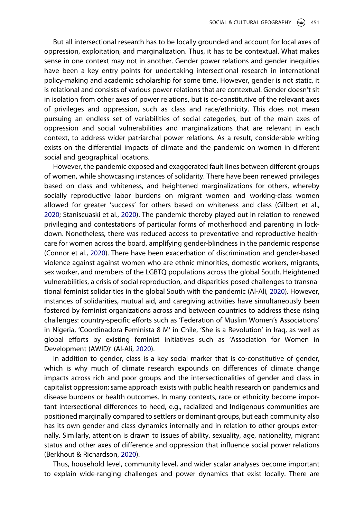But all intersectional research has to be locally grounded and account for local axes of oppression, exploitation, and marginalization. Thus, it has to be contextual. What makes sense in one context may not in another. Gender power relations and gender inequities have been a key entry points for undertaking intersectional research in international policy-making and academic scholarship for some time. However, gender is not static, it is relational and consists of various power relations that are contextual. Gender doesn't sit in isolation from other axes of power relations, but is co-constitutive of the relevant axes of privileges and oppression, such as class and race/ethnicity. This does not mean pursuing an endless set of variabilities of social categories, but of the main axes of oppression and social vulnerabilities and marginalizations that are relevant in each context, to address wider patriarchal power relations. As a result, considerable writing exists on the differential impacts of climate and the pandemic on women in different social and geographical locations.

<span id="page-5-4"></span><span id="page-5-3"></span><span id="page-5-2"></span>However, the pandemic exposed and exaggerated fault lines between different groups of women, while showcasing instances of solidarity. There have been renewed privileges based on class and whiteness, and heightened marginalizations for others, whereby socially reproductive labor burdens on migrant women and working-class women allowed for greater 'success' for others based on whiteness and class (Gilbert et al., [2020;](#page-11-12) Staniscuaski et al., [2020\)](#page-13-12). The pandemic thereby played out in relation to renewed privileging and contestations of particular forms of motherhood and parenting in lockdown. Nonetheless, there was reduced access to preventative and reproductive healthcare for women across the board, amplifying gender-blindness in the pandemic response (Connor et al., [2020\)](#page-10-7). There have been exacerbation of discrimination and gender-based violence against against women who are ethnic minorities, domestic workers, migrants, sex worker, and members of the LGBTQ populations across the global South. Heightened vulnerabilities, a crisis of social reproduction, and disparities posed challenges to transnational feminist solidarities in the global South with the pandemic (Al-Ali, [2020](#page-10-8)). However, instances of solidarities, mutual aid, and caregiving activities have simultaneously been fostered by feminist organizations across and between countries to address these rising challenges: country-specific efforts such as 'Federation of Muslim Women's Associations' in Nigeria, 'Coordinadora Feminista 8 M' in Chile, 'She is a Revolution' in Iraq, as well as global efforts by existing feminist initiatives such as 'Association for Women in Development (AWID)' (Al-Ali, [2020\)](#page-10-8).

<span id="page-5-0"></span>In addition to gender, class is a key social marker that is co-constitutive of gender, which is why much of climate research expounds on differences of climate change impacts across rich and poor groups and the intersectionalities of gender and class in capitalist oppression; same approach exists with public health research on pandemics and disease burdens or health outcomes. In many contexts, race or ethnicity become important intersectional differences to heed, e.g., racialized and Indigenous communities are positioned marginally compared to settlers or dominant groups, but each community also has its own gender and class dynamics internally and in relation to other groups externally. Similarly, attention is drawn to issues of ability, sexuality, age, nationality, migrant status and other axes of difference and oppression that influence social power relations (Berkhout & Richardson, [2020\)](#page-10-9).

<span id="page-5-1"></span>Thus, household level, community level, and wider scalar analyses become important to explain wide-ranging challenges and power dynamics that exist locally. There are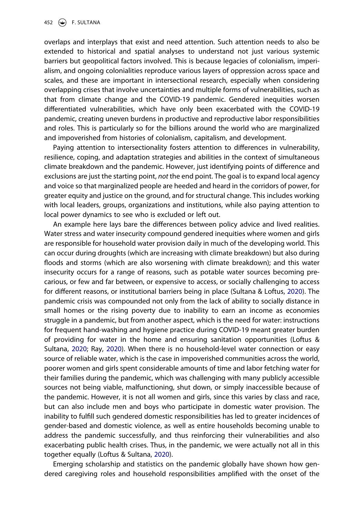overlaps and interplays that exist and need attention. Such attention needs to also be extended to historical and spatial analyses to understand not just various systemic barriers but geopolitical factors involved. This is because legacies of colonialism, imperialism, and ongoing colonialities reproduce various layers of oppression across space and scales, and these are important in intersectional research, especially when considering overlapping crises that involve uncertainties and multiple forms of vulnerabilities, such as that from climate change and the COVID-19 pandemic. Gendered inequities worsen differentiated vulnerabilities, which have only been exacerbated with the COVID-19 pandemic, creating uneven burdens in productive and reproductive labor responsibilities and roles. This is particularly so for the billions around the world who are marginalized and impoverished from histories of colonialism, capitalism, and development.

Paying attention to intersectionality fosters attention to differences in vulnerability, resilience, coping, and adaptation strategies and abilities in the context of simultaneous climate breakdown and the pandemic. However, just identifying points of difference and exclusions are just the starting point, *not* the end point. The goal is to expand local agency and voice so that marginalized people are heeded and heard in the corridors of power, for greater equity and justice on the ground, and for structural change. This includes working with local leaders, groups, organizations and institutions, while also paying attention to local power dynamics to see who is excluded or left out.

<span id="page-6-2"></span>An example here lays bare the differences between policy advice and lived realities. Water stress and water insecurity compound gendered inequities where women and girls are responsible for household water provision daily in much of the developing world. This can occur during droughts (which are increasing with climate breakdown) but also during floods and storms (which are also worsening with climate breakdown); and this water insecurity occurs for a range of reasons, such as potable water sources becoming precarious, or few and far between, or expensive to access, or socially challenging to access for different reasons, or institutional barriers being in place (Sultana & Loftus, [2020\)](#page-13-13). The pandemic crisis was compounded not only from the lack of ability to socially distance in small homes or the rising poverty due to inability to earn an income as economies struggle in a pandemic, but from another aspect, which is the need for water: instructions for frequent hand-washing and hygiene practice during COVID-19 meant greater burden of providing for water in the home and ensuring sanitation opportunities (Loftus & Sultana, [2020;](#page-12-15) Ray, [2020\)](#page-12-16). When there is no household-level water connection or easy source of reliable water, which is the case in impoverished communities across the world, poorer women and girls spent considerable amounts of time and labor fetching water for their families during the pandemic, which was challenging with many publicly accessible sources not being viable, malfunctioning, shut down, or simply inaccessible because of the pandemic. However, it is not all women and girls, since this varies by class and race, but can also include men and boys who participate in domestic water provision. The inability to fulfill such gendered domestic responsibilities has led to greater incidences of gender-based and domestic violence, as well as entire households becoming unable to address the pandemic successfully, and thus reinforcing their vulnerabilities and also exacerbating public health crises. Thus, in the pandemic, we were actually not all in this together equally (Loftus & Sultana, [2020\)](#page-12-15).

<span id="page-6-1"></span><span id="page-6-0"></span>Emerging scholarship and statistics on the pandemic globally have shown how gendered caregiving roles and household responsibilities amplified with the onset of the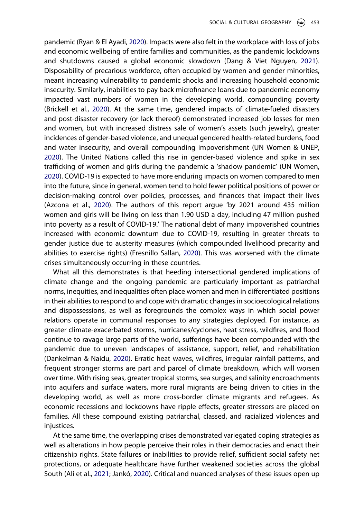<span id="page-7-6"></span><span id="page-7-3"></span><span id="page-7-2"></span>pandemic (Ryan & El Ayadi, [2020](#page-12-17)). Impacts were also felt in the workplace with loss of jobs and economic wellbeing of entire families and communities, as the pandemic lockdowns and shutdowns caused a global economic slowdown (Dang & Viet Nguyen, [2021](#page-10-10)). Disposability of precarious workforce, often occupied by women and gender minorities, meant increasing vulnerability to pandemic shocks and increasing household economic insecurity. Similarly, inabilities to pay back microfinance loans due to pandemic economy impacted vast numbers of women in the developing world, compounding poverty (Brickell et al., [2020\)](#page-10-11). At the same time, gendered impacts of climate-fueled disasters and post-disaster recovery (or lack thereof) demonstrated increased job losses for men and women, but with increased distress sale of women's assets (such jewelry), greater incidences of gender-based violence, and unequal gendered health-related burdens, food and water insecurity, and overall compounding impoverishment (UN Women & UNEP, [2020\)](#page-13-4). The United Nations called this rise in gender-based violence and spike in sex trafficking of women and girls during the pandemic a 'shadow pandemic' (UN Women, [2020\)](#page-13-14). COVID-19 is expected to have more enduring impacts on women compared to men into the future, since in general, women tend to hold fewer political positions of power or decision-making control over policies, processes, and finances that impact their lives (Azcona et al., [2020\)](#page-10-12). The authors of this report argue 'by 2021 around 435 million women and girls will be living on less than 1.90 USD a day, including 47 million pushed into poverty as a result of COVID-19.' The national debt of many impoverished countries increased with economic downturn due to COVID-19, resulting in greater threats to gender justice due to austerity measures (which compounded livelihood precarity and abilities to exercise rights) (Fresnillo Sallan, [2020\)](#page-11-13). This was worsened with the climate crises simultaneously occurring in these countries.

<span id="page-7-7"></span><span id="page-7-5"></span><span id="page-7-1"></span>What all this demonstrates is that heeding intersectional gendered implications of climate change and the ongoing pandemic are particularly important as patriarchal norms, inequities, and inequalities often place women and men in differentiated positions in their abilities to respond to and cope with dramatic changes in socioecological relations and dispossessions, as well as foregrounds the complex ways in which social power relations operate in communal responses to any strategies deployed. For instance, as greater climate-exacerbated storms, hurricanes/cyclones, heat stress, wildfires, and flood continue to ravage large parts of the world, sufferings have been compounded with the pandemic due to uneven landscapes of assistance, support, relief, and rehabilitation (Dankelman & Naidu, [2020](#page-11-14)). Erratic heat waves, wildfires, irregular rainfall patterns, and frequent stronger storms are part and parcel of climate breakdown, which will worsen over time. With rising seas, greater tropical storms, sea surges, and salinity encroachments into aquifers and surface waters, more rural migrants are being driven to cities in the developing world, as well as more cross-border climate migrants and refugees. As economic recessions and lockdowns have ripple effects, greater stressors are placed on families. All these compound existing patriarchal, classed, and racialized violences and injustices.

<span id="page-7-4"></span><span id="page-7-0"></span>At the same time, the overlapping crises demonstrated variegated coping strategies as well as alterations in how people perceive their roles in their democracies and enact their citizenship rights. State failures or inabilities to provide relief, sufficient social safety net protections, or adequate healthcare have further weakened societies across the global South (Ali et al., [2021](#page-10-13); Jankó, [2020\)](#page-12-18). Critical and nuanced analyses of these issues open up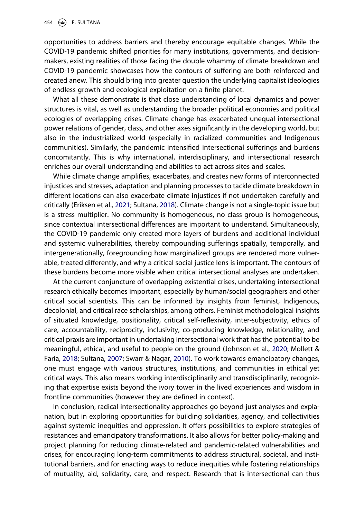opportunities to address barriers and thereby encourage equitable changes. While the COVID-19 pandemic shifted priorities for many institutions, governments, and decisionmakers, existing realities of those facing the double whammy of climate breakdown and COVID-19 pandemic showcases how the contours of suffering are both reinforced and created anew. This should bring into greater question the underlying capitalist ideologies of endless growth and ecological exploitation on a finite planet.

What all these demonstrate is that close understanding of local dynamics and power structures is vital, as well as understanding the broader political economies and political ecologies of overlapping crises. Climate change has exacerbated unequal intersectional power relations of gender, class, and other axes significantly in the developing world, but also in the industrialized world (especially in racialized communities and Indigenous communities). Similarly, the pandemic intensified intersectional sufferings and burdens concomitantly. This is why international, interdisciplinary, and intersectional research enriches our overall understanding and abilities to act across sites and scales.

<span id="page-8-0"></span>While climate change amplifies, exacerbates, and creates new forms of interconnected injustices and stresses, adaptation and planning processes to tackle climate breakdown in different locations can also exacerbate climate injustices if not undertaken carefully and critically (Eriksen et al., [2021](#page-11-15); Sultana, [2018\)](#page-13-15). Climate change is not a single-topic issue but is a stress multiplier. No community is homogeneous, no class group is homogeneous, since contextual intersectional differences are important to understand. Simultaneously, the COVID-19 pandemic only created more layers of burdens and additional individual and systemic vulnerabilities, thereby compounding sufferings spatially, temporally, and intergenerationally, foregrounding how marginalized groups are rendered more vulnerable, treated differently, and why a critical social justice lens is important. The contours of these burdens become more visible when critical intersectional analyses are undertaken.

At the current conjuncture of overlapping existential crises, undertaking intersectional research ethically becomes important, especially by human/social geographers and other critical social scientists. This can be informed by insights from feminist, Indigenous, decolonial, and critical race scholarships, among others. Feminist methodological insights of situated knowledge, positionality, critical self-reflexivity, inter-subjectivity, ethics of care, accountability, reciprocity, inclusivity, co-producing knowledge, relationality, and critical praxis are important in undertaking intersectional work that has the potential to be meaningful, ethical, and useful to people on the ground (Johnson et al., [2020](#page-12-19); Mollett & Faria, [2018](#page-12-12); Sultana, [2007](#page-13-16); Swarr & Nagar, [2010\)](#page-13-17). To work towards emancipatory changes, one must engage with various structures, institutions, and communities in ethical yet critical ways. This also means working interdisciplinarily and transdisciplinarily, recognizing that expertise exists beyond the ivory tower in the lived experiences and wisdom in frontline communities (however they are defined in context).

<span id="page-8-2"></span><span id="page-8-1"></span>In conclusion, radical intersectionality approaches go beyond just analyses and explanation, but in exploring opportunities for building solidarities, agency, and collectivities against systemic inequities and oppression. It offers possibilities to explore strategies of resistances and emancipatory transformations. It also allows for better policy-making and project planning for reducing climate-related and pandemic-related vulnerabilities and crises, for encouraging long-term commitments to address structural, societal, and institutional barriers, and for enacting ways to reduce inequities while fostering relationships of mutuality, aid, solidarity, care, and respect. Research that is intersectional can thus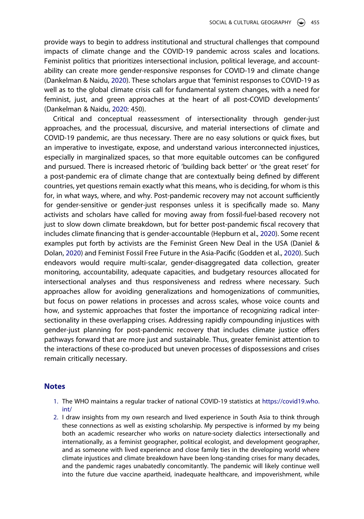provide ways to begin to address institutional and structural challenges that compound impacts of climate change and the COVID-19 pandemic across scales and locations. Feminist politics that prioritizes intersectional inclusion, political leverage, and accountability can create more gender-responsive responses for COVID-19 and climate change (Dankelman & Naidu, [2020](#page-11-14)). These scholars argue that 'feminist responses to COVID-19 as well as to the global climate crisis call for fundamental system changes, with a need for feminist, just, and green approaches at the heart of all post-COVID developments' (Dankelman & Naidu, [2020:](#page-11-14) 450).

<span id="page-9-3"></span><span id="page-9-2"></span>Critical and conceptual reassessment of intersectionality through gender-just approaches, and the processual, discursive, and material intersections of climate and COVID-19 pandemic, are thus necessary. There are no easy solutions or quick fixes, but an imperative to investigate, expose, and understand various interconnected injustices, especially in marginalized spaces, so that more equitable outcomes can be configured and pursued. There is increased rhetoric of 'building back better' or 'the great reset' for a post-pandemic era of climate change that are contextually being defined by different countries, yet questions remain exactly what this means, who is deciding, for whom is this for, in what ways, where, and why. Post-pandemic recovery may not account sufficiently for gender-sensitive or gender-just responses unless it is specifically made so. Many activists and scholars have called for moving away from fossil-fuel-based recovery not just to slow down climate breakdown, but for better post-pandemic fiscal recovery that includes climate financing that is gender-accountable (Hepburn et al., [2020](#page-11-16)). Some recent examples put forth by activists are the Feminist Green New Deal in the USA (Daniel & Dolan, [2020\)](#page-11-17) and Feminist Fossil Free Future in the Asia-Pacific (Godden et al., [2020\)](#page-11-18). Such endeavors would require multi-scalar, gender-disaggregated data collection, greater monitoring, accountability, adequate capacities, and budgetary resources allocated for intersectional analyses and thus responsiveness and redress where necessary. Such approaches allow for avoiding generalizations and homogenizations of communities, but focus on power relations in processes and across scales, whose voice counts and how, and systemic approaches that foster the importance of recognizing radical intersectionality in these overlapping crises. Addressing rapidly compounding injustices with gender-just planning for post-pandemic recovery that includes climate justice offers pathways forward that are more just and sustainable. Thus, greater feminist attention to the interactions of these co-produced but uneven processes of dispossessions and crises remain critically necessary.

### **Notes**

- <span id="page-9-0"></span>1. The WHO maintains a regular tracker of national COVID-19 statistics at [https://covid19.who.](https://covid19.who.int/) [int/](https://covid19.who.int/)
- <span id="page-9-1"></span>2. I draw insights from my own research and lived experience in South Asia to think through these connections as well as existing scholarship. My perspective is informed by my being both an academic researcher who works on nature-society dialectics intersectionally and internationally, as a feminist geographer, political ecologist, and development geographer, and as someone with lived experience and close family ties in the developing world where climate injustices and climate breakdown have been long-standing crises for many decades, and the pandemic rages unabatedly concomitantly. The pandemic will likely continue well into the future due vaccine apartheid, inadequate healthcare, and impoverishment, while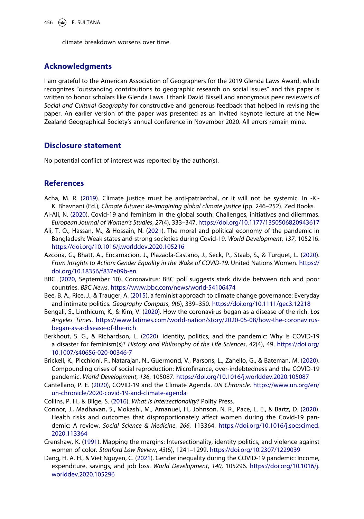climate breakdown worsens over time.

## **Acknowledgments**

I am grateful to the American Association of Geographers for the 2019 Glenda Laws Award, which recognizes "outstanding contributions to geographic research on social issues" and this paper is written to honor scholars like Glenda Laws. I thank David Bissell and anonymous peer reviewers of *Social and Cultural Geography* for constructive and generous feedback that helped in revising the paper. An earlier version of the paper was presented as an invited keynote lecture at the New Zealand Geographical Society's annual conference in November 2020. All errors remain mine.

## **Disclosure statement**

No potential conflict of interest was reported by the author(s).

## **References**

- <span id="page-10-1"></span>Acha, M. R. ([2019](#page-3-0)). Climate justice must be anti-patriarchal, or it will not be systemic. In -K.- K. Bhavnani (Ed.), *Climate futures: Re-imagining global climate justice* (pp. 246–252). Zed Books.
- <span id="page-10-8"></span>Al-Ali, N. ([2020](#page-5-0)). Covid-19 and feminism in the global south: Challenges, initiatives and dilemmas. *European Journal of Women's Studies*, *27*(4), 333–347. <https://doi.org/10.1177/1350506820943617>
- <span id="page-10-13"></span>Ali, T. O., Hassan, M., & Hossain, N. ([2021](#page-7-0)). The moral and political economy of the pandemic in Bangladesh: Weak states and strong societies during Covid-19. *World Development*, *137*, 105216. <https://doi.org/10.1016/j.worlddev.2020.105216>
- <span id="page-10-12"></span>Azcona, G., Bhatt, A., Encarnacion, J., Plazaola-Castaño, J., Seck, P., Staab, S., & Turquet, L. [\(2020\)](#page-7-1). *From Insights to Action: Gender Equality in the Wake of COVID-19*. United Nations Women. [https://](https://doi.org/10.18356/f837e09b-en) [doi.org/10.18356/f837e09b-en](https://doi.org/10.18356/f837e09b-en)
- <span id="page-10-6"></span>BBC. [\(2020,](#page-4-0) September 10). Coronavirus: BBC poll suggests stark divide between rich and poor countries. *BBC News*. <https://www.bbc.com/news/world-54106474>
- <span id="page-10-2"></span>Bee, B. A., Rice, J., & Trauger, A. [\(2015\)](#page-3-0). a feminist approach to climate change governance: Everyday and intimate politics. *Geography Compass*, *9*(6), 339–350. <https://doi.org/10.1111/gec3.12218>
- <span id="page-10-5"></span>Bengali, S., Linthicum, K., & Kim, V. ([2020](#page-4-1)). How the coronavirus began as a disease of the rich. *Los Angeles Times*. [https://www.latimes.com/world-nation/story/2020-05-08/how-the-coronavirus](https://www.latimes.com/world-nation/story/2020-05-08/how-the-coronavirus-began-as-a-disease-of-the-rich)[began-as-a-disease-of-the-rich](https://www.latimes.com/world-nation/story/2020-05-08/how-the-coronavirus-began-as-a-disease-of-the-rich)
- <span id="page-10-9"></span>Berkhout, S. G., & Richardson, L. ([2020](#page-5-1)). Identity, politics, and the pandemic: Why is COVID-19 a disaster for feminism(s)? *History and Philosophy of the Life Sciences*, *42*(4), 49. [https://doi.org/](https://doi.org/10.1007/s40656-020-00346-7) [10.1007/s40656-020-00346-7](https://doi.org/10.1007/s40656-020-00346-7)
- <span id="page-10-11"></span>Brickell, K., Picchioni, F., Natarajan, N., Guermond, V., Parsons, L., Zanello, G., & Bateman, M. [\(2020\)](#page-7-2). Compounding crises of social reproduction: Microfinance, over-indebtedness and the COVID-19 pandemic. *World Development*, *136*, 105087. <https://doi.org/10.1016/j.worlddev.2020.105087>
- <span id="page-10-0"></span>Cantellano, P. E. ([2020](#page-2-0)), COVID-19 and the Climate Agenda. *UN Chronicle*. [https://www.un.org/en/](https://www.un.org/en/un-chronicle/2020-covid-19-and-climate-agenda) [un-chronicle/2020-covid-19-and-climate-agenda](https://www.un.org/en/un-chronicle/2020-covid-19-and-climate-agenda)
- <span id="page-10-3"></span>Collins, P. H., & Bilge, S. [\(2016\)](#page-3-1). *What is intersectionality?* Polity Press.
- <span id="page-10-7"></span>Connor, J., Madhavan, S., Mokashi, M., Amanuel, H., Johnson, N. R., Pace, L. E., & Bartz, D. [\(2020\)](#page-5-2). Health risks and outcomes that disproportionately affect women during the Covid-19 pandemic: A review. *Social Science & Medicine*, *266*, 113364. [https://doi.org/10.1016/j.socscimed.](https://doi.org/10.1016/j.socscimed.2020.113364) [2020.113364](https://doi.org/10.1016/j.socscimed.2020.113364)
- <span id="page-10-4"></span>Crenshaw, K. ([1991](#page-3-1)). Mapping the margins: Intersectionality, identity politics, and violence against women of color. *Stanford Law Review*, *43*(6), 1241–1299. <https://doi.org/10.2307/1229039>
- <span id="page-10-10"></span>Dang, H. A. H., & Viet Nguyen, C. ([2021](#page-7-3)). Gender inequality during the COVID-19 pandemic: Income, expenditure, savings, and job loss. *World Development*, *140*, 105296. [https://doi.org/10.1016/j.](https://doi.org/10.1016/j.worlddev.2020.105296) [worlddev.2020.105296](https://doi.org/10.1016/j.worlddev.2020.105296)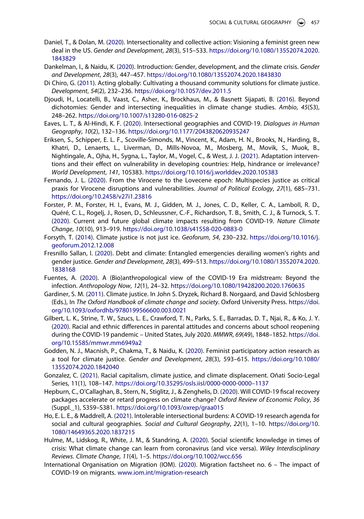- <span id="page-11-17"></span>Daniel, T., & Dolan, M. ([2020](#page-9-2)). Intersectionality and collective action: Visioning a feminist green new deal in the US. *Gender and Development*, *28*(3), 515–533. [https://doi.org/10.1080/13552074.2020.](https://doi.org/10.1080/13552074.2020.1843829) [1843829](https://doi.org/10.1080/13552074.2020.1843829)
- <span id="page-11-14"></span>Dankelman, I., & Naidu, K. ([2020](#page-7-4)). Introduction: Gender, development, and the climate crisis. *Gender and Development*, *28*(3), 447–457. <https://doi.org/10.1080/13552074.2020.1843830>
- <span id="page-11-4"></span>Di Chiro, G. [\(2011\)](#page-3-2). Acting globally: Cultivating a thousand community solutions for climate justice. *Development*, *54*(2), 232–236. <https://doi.org/10.1057/dev.2011.5>
- <span id="page-11-8"></span>Djoudi, H., Locatelli, B., Vaast, C., Asher, K., Brockhaus, M., & Basnett Sijapati, B. ([2016](#page-3-3)). Beyond dichotomies: Gender and intersecting inequalities in climate change studies. *Ambio*, *45*(S3), 248–262. <https://doi.org/10.1007/s13280-016-0825-2>
- <span id="page-11-11"></span>Eaves, L. T., & Al-Hindi, K. F. ([2020](#page-4-2)). Intersectional geographies and COVID-19. *Dialogues in Human Geography*, *10*(2), 132–136. <https://doi.org/10.1177/2043820620935247>
- <span id="page-11-15"></span>Eriksen, S., Schipper, E. L. F., Scoville-Simonds, M., Vincent, K., Adam, H. N., Brooks, N., Harding, B., Khatri, D., Lenaerts, L., Liverman, D., Mills-Novoa, M., Mosberg, M., Movik, S., Muok, B., Nightingale, A., Ojha, H., Sygna, L., Taylor, M., Vogel, C., & West, J. J. ([2021](#page-8-0)). Adaptation interventions and their effect on vulnerability in developing countries: Help, hindrance or irrelevance? *World Development*, *141*, 105383. <https://doi.org/10.1016/j.worlddev.2020.105383>
- <span id="page-11-0"></span>Fernando, J. L. [\(2020\)](#page-2-1). From the Virocene to the Lovecene epoch: Multispecies justice as critical praxis for Virocene disruptions and vulnerabilities. *Journal of Political Ecology*, *27*(1), 685–731. <https://doi.org/10.2458/v27i1.23816>
- <span id="page-11-1"></span>Forster, P. M., Forster, H. I., Evans, M. J., Gidden, M. J., Jones, C. D., Keller, C. A., Lamboll, R. D., Quéré, C. L., Rogelj, J., Rosen, D., Schleussner, C.-F., Richardson, T. B., Smith, C. J., & Turnock, S. T. ([2020](#page-2-1)). Current and future global climate impacts resulting from COVID-19. *Nature Climate Change*, *10*(10), 913–919. <https://doi.org/10.1038/s41558-020-0883-0>
- <span id="page-11-5"></span>Forsyth, T. ([2014](#page-3-2)). Climate justice is not just ice. *Geoforum*, *54*, 230–232. [https://doi.org/10.1016/j.](https://doi.org/10.1016/j.geoforum.2012.12.008) [geoforum.2012.12.008](https://doi.org/10.1016/j.geoforum.2012.12.008)
- <span id="page-11-13"></span>Fresnillo Sallan, I. [\(2020\)](#page-7-5). Debt and climate: Entangled emergencies derailing women's rights and gender justice. *Gender and Development*, *28*(3), 499–513. [https://doi.org/10.1080/13552074.2020.](https://doi.org/10.1080/13552074.2020.1838168) [1838168](https://doi.org/10.1080/13552074.2020.1838168)
- <span id="page-11-2"></span>Fuentes, A. [\(2020\)](#page-2-1). A (Bio)anthropological view of the COVID-19 Era midstream: Beyond the infection. *Anthropology Now*, *12*(1), 24–32. <https://doi.org/10.1080/19428200.2020.1760635>
- <span id="page-11-6"></span>Gardiner, S. M. [\(2011\)](#page-3-4). Climate justice. In John S. Dryzek, Richard B. Norgaard, and David Schlosberg (Eds.), In *The Oxford Handbook of climate change and society*. Oxford University Press. [https://doi.](https://doi.org/10.1093/oxfordhb/9780199566600.003.0021) [org/10.1093/oxfordhb/9780199566600.003.0021](https://doi.org/10.1093/oxfordhb/9780199566600.003.0021)
- <span id="page-11-12"></span>Gilbert, L. K., Strine, T. W., Szucs, L. E., Crawford, T. N., Parks, S. E., Barradas, D. T., Njai, R., & Ko, J. Y. ([2020](#page-5-3)). Racial and ethnic differences in parental attitudes and concerns about school reopening during the COVID-19 pandemic – United States, July 2020. *MMWR*, *69*(49), 1848–1852. [https://doi.](https://doi.org/10.15585/mmwr.mm6949a2) [org/10.15585/mmwr.mm6949a2](https://doi.org/10.15585/mmwr.mm6949a2)
- <span id="page-11-18"></span>Godden, N. J., Macnish, P., Chakma, T., & Naidu, K. [\(2020\)](#page-9-2). Feminist participatory action research as a tool for climate justice. *Gender and Development*, *28*(3), 593–615. [https://doi.org/10.1080/](https://doi.org/10.1080/13552074.2020.1842040) [13552074.2020.1842040](https://doi.org/10.1080/13552074.2020.1842040)
- <span id="page-11-7"></span>Gonzalez, C. [\(2021\)](#page-3-4). Racial capitalism, climate justice, and climate displacement. Oñati Socio-Legal Series, 11(1), 108–147. [https://doi.org/10.35295/osls.iisl/0000-0000-0000–1137](https://doi.org/10.35295/osls.iisl/0000-0000-0000%20131137)
- <span id="page-11-16"></span>Hepburn, C., O'Callaghan, B., Stern, N., Stiglitz, J., & Zenghelis, D. [\(2020\)](#page-9-3). Will COVID-19 fiscal recovery packages accelerate or retard progress on climate change? *Oxford Review of Economic Policy*, *36*  (Suppl.\_1), S359–S381. <https://doi.org/10.1093/oxrep/graa015>
- <span id="page-11-10"></span>Ho, E. L. E., & Maddrell, A. [\(2021\)](#page-4-3). Intolerable intersectional burdens: A COVID-19 research agenda for social and cultural geographies. *Social and Cultural Geography*, *22*(1), 1–10. [https://doi.org/10.](https://doi.org/10.1080/14649365.2020.1837215) [1080/14649365.2020.1837215](https://doi.org/10.1080/14649365.2020.1837215)
- <span id="page-11-3"></span>Hulme, M., Lidskog, R., White, J. M., & Standring, A. ([2020](#page-2-1)). Social scientific knowledge in times of crisis: What climate change can learn from coronavirus (and vice versa). *Wiley Interdisciplinary Reviews. Climate Change*, *11*(4), 1–5. <https://doi.org/10.1002/wcc.656>
- <span id="page-11-9"></span>International Organisation on Migration (IOM). ([2020](#page-4-4)). Migration factsheet no. 6 – The impact of COVID-19 on migrants. [www.iom.int/migration-research](http://www.iom.int/migration-research)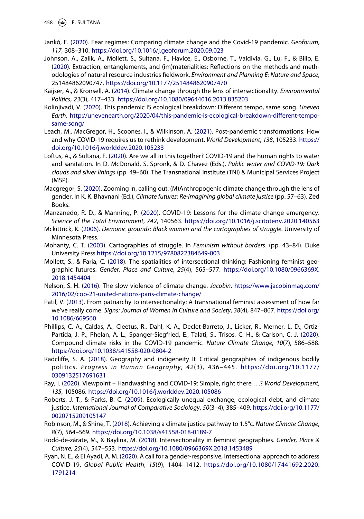458  $\left(\bigcirc\right)$  F. SULTANA

- <span id="page-12-18"></span>Jankó, F. [\(2020\)](#page-7-0). Fear regimes: Comparing climate change and the Covid-19 pandemic. *Geoforum*, *117*, 308–310. <https://doi.org/10.1016/j.geoforum.2020.09.023>
- <span id="page-12-19"></span>Johnson, A., Zalik, A., Mollett, S., Sultana, F., Havice, E., Osborne, T., Valdivia, G., Lu, F., & Billo, E. ([2020](#page-8-1)). Extraction, entanglements, and (im)materialities: Reflections on the methods and methodologies of natural resource industries fieldwork. *Environment and Planning E: Nature and Space*, 251484862090747. <https://doi.org/10.1177/2514848620907470>
- <span id="page-12-8"></span>Kaijser, A., & Kronsell, A. [\(2014\)](#page-3-3). Climate change through the lens of intersectionality. *Environmental Politics*, *23*(3), 417–433. <https://doi.org/10.1080/09644016.2013.835203>
- <span id="page-12-0"></span>Kolinjivadi, V. [\(2020\)](#page-2-2). This pandemic IS ecological breakdown: Different tempo, same song. *Uneven Earth*. [http://unevenearth.org/2020/04/this-pandemic-is-ecological-breakdown-different-tempo](http://unevenearth.org/2020/04/this-pandemic-is-ecological-breakdown-different-tempo-same-song/)[same-song/](http://unevenearth.org/2020/04/this-pandemic-is-ecological-breakdown-different-tempo-same-song/)
- <span id="page-12-7"></span>Leach, M., MacGregor, H., Scoones, I., & Wilkinson, A. [\(2021\)](#page-3-5). Post-pandemic transformations: How and why COVID-19 requires us to rethink development. *World Development*, *138*, 105233. [https://](https://doi.org/10.1016/j.worlddev.2020.105233) [doi.org/10.1016/j.worlddev.2020.105233](https://doi.org/10.1016/j.worlddev.2020.105233)
- <span id="page-12-15"></span>Loftus, A., & Sultana, F. ([2020](#page-6-0)). Are we all in this together? COVID-19 and the human rights to water and sanitation. In D. McDonald, S. Spronk, & D. Chavez (Eds.), *Public water and COVID-19: Dark clouds and silver linings* (pp. 49–60). The Transnational Institute (TNI) & Municipal Services Project (MSP).
- <span id="page-12-4"></span>Macgregor, S. [\(2020\)](#page-3-6). Zooming in, calling out: (M)Anthropogenic climate change through the lens of gender. In K. K. Bhavnani (Ed.), *Climate futures: Re-imagining global climate justice* (pp. 57-63). Zed Books.
- <span id="page-12-2"></span>Manzanedo, R. D., & Manning, P. ([2020\)](#page-2-3). COVID-19: Lessons for the climate change emergency. *Science of the Total Environment*, *742*, 140563. <https://doi.org/10.1016/j.scitotenv.2020.140563>
- <span id="page-12-10"></span>Mckittrick, K. ([2006](#page-3-7)). *Demonic grounds: Black women and the cartographies of struggle*. University of Minnesota Press.
- <span id="page-12-11"></span>Mohanty, C. T. ([2003](#page-3-7)). Cartographies of struggle. In *Feminism without borders*. (pp. 43–84). Duke University Press[.https://doi.org/10.1215/9780822384649-003](https://doi.org/10.1215/9780822384649-003)
- <span id="page-12-12"></span>Mollett, S., & Faria, C. ([2018](#page-3-8)). The spatialities of intersectional thinking: Fashioning feminist geographic futures. *Gender, Place and Culture*, *25*(4), 565–577. [https://doi.org/10.1080/0966369X.](https://doi.org/10.1080/0966369X.2018.1454404) [2018.1454404](https://doi.org/10.1080/0966369X.2018.1454404)
- <span id="page-12-3"></span>Nelson, S. H. [\(2016\)](#page-2-4). The slow violence of climate change. *Jacobin*. [https://www.jacobinmag.com/](https://www.jacobinmag.com/2016/02/cop-21-united-nations-paris-climate-change/) [2016/02/cop-21-united-nations-paris-climate-change/](https://www.jacobinmag.com/2016/02/cop-21-united-nations-paris-climate-change/)
- <span id="page-12-13"></span>Patil, V. ([2013\)](#page-3-8). From patriarchy to intersectionality: A transnational feminist assessment of how far we've really come. *Signs: Journal of Women in Culture and Society*, *38*(4), 847–867. [https://doi.org/](https://doi.org/10.1086/669560) [10.1086/669560](https://doi.org/10.1086/669560)
- <span id="page-12-1"></span>Phillips, C. A., Caldas, A., Cleetus, R., Dahl, K. A., Declet-Barreto, J., Licker, R., Merner, L. D., Ortiz-Partida, J. P., Phelan, A. L., Spanger-Siegfried, E., Talati, S., Trisos, C. H., & Carlson, C. J. [\(2020\)](#page-2-2). Compound climate risks in the COVID-19 pandemic. *Nature Climate Change*, *10*(7), 586–588. <https://doi.org/10.1038/s41558-020-0804-2>
- <span id="page-12-14"></span>Radcliffe, S. A. [\(2018\)](#page-3-8). Geography and indigeneity II: Critical geographies of indigenous bodily politics. *Progress in Human Geography*, *42*(3), 436–445. [https://doi.org/10.1177/](https://doi.org/10.1177/0309132517691631)  [0309132517691631](https://doi.org/10.1177/0309132517691631)
- <span id="page-12-16"></span>Ray, I. [\(2020\)](#page-6-1). Viewpoint – Handwashing and COVID-19: Simple, right there . . .? *World Development*, *135*, 105086. <https://doi.org/10.1016/j.worlddev.2020.105086>
- <span id="page-12-5"></span>Roberts, J. T., & Parks, B. C. [\(2009\)](#page-3-4). Ecologically unequal exchange, ecological debt, and climate justice. *International Journal of Comparative Sociology*, *50*(3–4), 385–409. [https://doi.org/10.1177/](https://doi.org/10.1177/0020715209105147) [0020715209105147](https://doi.org/10.1177/0020715209105147)
- <span id="page-12-6"></span>Robinson, M., & Shine, T. ([2018](#page-3-4)). Achieving a climate justice pathway to 1.5°c. *Nature Climate Change*, *8*(7), 564–569. <https://doi.org/10.1038/s41558-018-0189-7>
- <span id="page-12-9"></span>Rodó-de-zárate, M., & Baylina, M. ([2018](#page-3-9)). Intersectionality in feminist geographies. *Gender, Place & Culture*, *25*(4), 547–553. <https://doi.org/10.1080/0966369X.2018.1453489>
- <span id="page-12-17"></span>Ryan, N. E., & El Ayadi, A. M. ([2020](#page-7-6)). A call for a gender-responsive, intersectional approach to address COVID-19. *Global Public Health*, *15*(9), 1404–1412. [https://doi.org/10.1080/17441692.2020.](https://doi.org/10.1080/17441692.2020.1791214) [1791214](https://doi.org/10.1080/17441692.2020.1791214)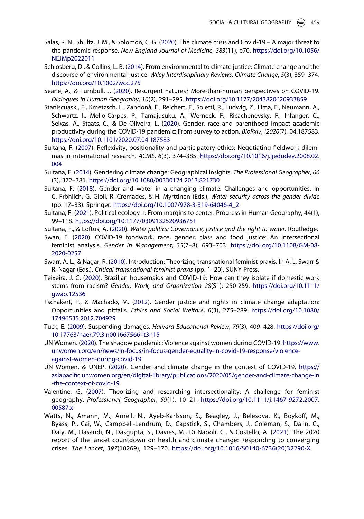- <span id="page-13-0"></span>Salas, R. N., Shultz, J. M., & Solomon, C. G. [\(2020\)](#page-2-3). The climate crisis and Covid-19 – A major threat to the pandemic response. *New England Journal of Medicine*, *383*(11), e70. [https://doi.org/10.1056/](https://doi.org/10.1056/NEJMp2022011) [NEJMp2022011](https://doi.org/10.1056/NEJMp2022011)
- <span id="page-13-3"></span>Schlosberg, D., & Collins, L. B. ([2014](#page-3-10)). From environmental to climate justice: Climate change and the discourse of environmental justice. *Wiley Interdisciplinary Reviews. Climate Change*, *5*(3), 359–374. <https://doi.org/10.1002/wcc.275>
- <span id="page-13-2"></span>Searle, A., & Turnbull, J. [\(2020\)](#page-2-1). Resurgent natures? More-than-human perspectives on COVID-19. *Dialogues in Human Geography*, *10*(2), 291–295. <https://doi.org/10.1177/2043820620933859>
- <span id="page-13-12"></span>Staniscuaski, F., Kmetzsch, L., Zandonà, E., Reichert, F., Soletti, R., Ludwig, Z., Lima, E., Neumann, A., Schwartz, I., Mello-Carpes, P., Tamajusuku, A., Werneck, F., Ricachenevsky, F., Infanger, C., Seixas, A., Staats, C., & De Oliveira, L. ([2020](#page-5-4)). Gender, race and parenthood impact academic productivity during the COVID-19 pandemic: From survey to action. *BioRxiv*, *(2020*(7), 04.187583. <https://doi.org/10.1101/2020.07.04.187583>
- <span id="page-13-16"></span>Sultana, F. [\(2007\)](#page-8-2). Reflexivity, positionality and participatory ethics: Negotiating fieldwork dilemmas in international research. *ACME*, *6*(3), 374–385. [https://doi.org/10.1016/j.ijedudev.2008.02.](https://doi.org/10.1016/j.ijedudev.2008.02.004) [004](https://doi.org/10.1016/j.ijedudev.2008.02.004)
- <span id="page-13-5"></span>Sultana, F. ([2014](#page-3-3)). Gendering climate change: Geographical insights. *The Professional Geographer*, *66*  (3), 372–381. <https://doi.org/10.1080/00330124.2013.821730>
- <span id="page-13-15"></span>Sultana, F. [\(2018\)](#page-8-0). Gender and water in a changing climate: Challenges and opportunities. In C. Fröhlich, G. Gioli, R. Cremades, & H. Myrttinen (Eds.), *Water security across the gender divide*  (pp. 17–33). Springer. [https://doi.org/10.1007/978-3-319-64046-4\\_2](https://doi.org/10.1007/978-3-319-64046-4_2)
- <span id="page-13-7"></span>Sultana, F. [\(2021\)](#page-3-11). Political ecology 1: From margins to center. Progress in Human Geography, 44(1), 99–118. <https://doi.org/10.1177/0309132520936751>
- <span id="page-13-13"></span>Sultana, F., & Loftus, A. [\(2020\)](#page-6-2). *Water politics: Governance, justice and the right to water*. Routledge.
- <span id="page-13-9"></span>Swan, E. ([2020\)](#page-4-5). COVID-19 foodwork, race, gender, class and food justice: An intersectional feminist analysis. *Gender in Management*, *35*(7–8), 693–703. [https://doi.org/10.1108/GM-08-](https://doi.org/10.1108/GM-08-2020-0257) [2020-0257](https://doi.org/10.1108/GM-08-2020-0257)
- <span id="page-13-17"></span>Swarr, A. L., & Nagar, R. ([2010](#page-8-2)). Introduction: Theorizing transnational feminist praxis. In A. L. Swarr & R. Nagar (Eds.), *Critical transnational feminist praxis* (pp. 1–20). SUNY Press.
- <span id="page-13-10"></span>Teixeira, J. C. [\(2020\)](#page-4-6). Brazilian housemaids and COVID-19: How can they isolate if domestic work stems from racism? *Gender, Work, and Organization 28*(S1): 250-259. [https://doi.org/10.1111/](https://doi.org/10.1111/gwao.12536) [gwao.12536](https://doi.org/10.1111/gwao.12536)
- <span id="page-13-6"></span>Tschakert, P., & Machado, M. ([2012](#page-3-3)). Gender justice and rights in climate change adaptation: Opportunities and pitfalls. *Ethics and Social Welfare*, *6*(3), 275–289. [https://doi.org/10.1080/](https://doi.org/10.1080/17496535.2012.704929) [17496535.2012.704929](https://doi.org/10.1080/17496535.2012.704929)
- <span id="page-13-11"></span>Tuck, E. [\(2009\)](#page-4-7). Suspending damages. *Harvard Educational Review*, *79*(3), 409–428. [https://doi.org/](https://doi.org/10.17763/haer.79.3.n0016675661t3n15) [10.17763/haer.79.3.n0016675661t3n15](https://doi.org/10.17763/haer.79.3.n0016675661t3n15)
- <span id="page-13-14"></span>UN Women. [\(2020\)](#page-7-7). The shadow pandemic: Violence against women during COVID-19. [https://www.](https://www.unwomen.org/en/news/in-focus/in-focus-gender-equality-in-covid-19-response/violence-against-women-during-covid-19) [unwomen.org/en/news/in-focus/in-focus-gender-equality-in-covid-19-response/violence](https://www.unwomen.org/en/news/in-focus/in-focus-gender-equality-in-covid-19-response/violence-against-women-during-covid-19)[against-women-during-covid-19](https://www.unwomen.org/en/news/in-focus/in-focus-gender-equality-in-covid-19-response/violence-against-women-during-covid-19)
- <span id="page-13-4"></span>UN Women, & UNEP. [\(2020\)](#page-3-5). Gender and climate change in the context of COVID-19. [https://](https://asiapacific.unwomen.org/en/digital-library/publications/2020/05/gender-and-climate-change-in-the-context-of-covid-19) [asiapacific.unwomen.org/en/digital-library/publications/2020/05/gender-and-climate-change-in](https://asiapacific.unwomen.org/en/digital-library/publications/2020/05/gender-and-climate-change-in-the-context-of-covid-19) [-the-context-of-covid-19](https://asiapacific.unwomen.org/en/digital-library/publications/2020/05/gender-and-climate-change-in-the-context-of-covid-19)
- <span id="page-13-8"></span>Valentine, G. [\(2007\)](#page-3-8). Theorizing and researching intersectionality: A challenge for feminist geography. *Professional Geographer*, *59*(1), 10–21. [https://doi.org/10.1111/j.1467-9272.2007.](https://doi.org/10.1111/j.1467-9272.2007.00587.x) [00587.x](https://doi.org/10.1111/j.1467-9272.2007.00587.x)
- <span id="page-13-1"></span>Watts, N., Amann, M., Arnell, N., Ayeb-Karlsson, S., Beagley, J., Belesova, K., Boykoff, M., Byass, P., Cai, W., Campbell-Lendrum, D., Capstick, S., Chambers, J., Coleman, S., Dalin, C., Daly, M., Dasandi, N., Dasgupta, S., Davies, M., Di Napoli, C., & Costello, A. ([2021\)](#page-2-5). The 2020 report of the lancet countdown on health and climate change: Responding to converging crises. *The Lancet*, *397*(10269), 129–170. [https://doi.org/10.1016/S0140-6736\(20\)32290-X](https://doi.org/10.1016/S0140-6736(20)32290-X)